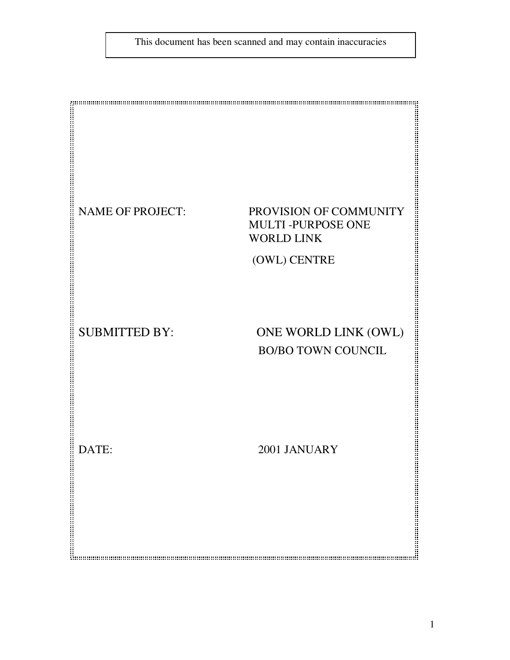This document has been scanned and may contain inaccuracies

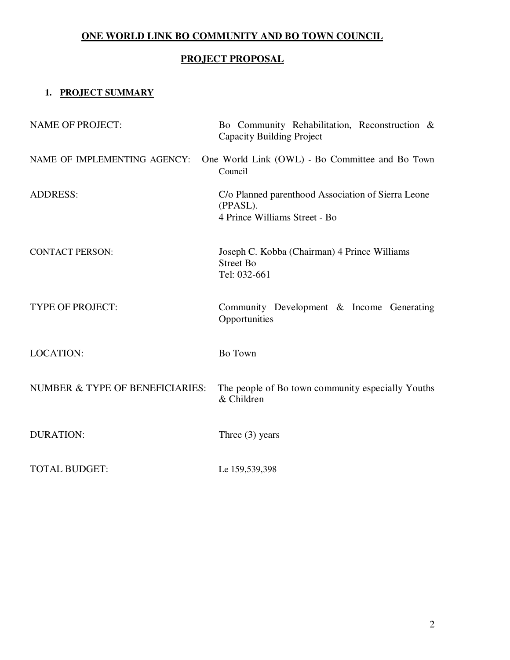## **ONE WORLD LINK BO COMMUNITY AND BO TOWN COUNCIL**

# **PROJECT PROPOSAL**

## **1. PROJECT SUMMARY**

| <b>NAME OF PROJECT:</b>         | Bo Community Rehabilitation, Reconstruction &<br><b>Capacity Building Project</b>               |
|---------------------------------|-------------------------------------------------------------------------------------------------|
| NAME OF IMPLEMENTING AGENCY:    | One World Link (OWL) - Bo Committee and Bo Town<br>Council                                      |
| <b>ADDRESS:</b>                 | C/o Planned parenthood Association of Sierra Leone<br>(PPASL).<br>4 Prince Williams Street - Bo |
| <b>CONTACT PERSON:</b>          | Joseph C. Kobba (Chairman) 4 Prince Williams<br><b>Street Bo</b><br>Tel: 032-661                |
| <b>TYPE OF PROJECT:</b>         | Community Development & Income Generating<br>Opportunities                                      |
| <b>LOCATION:</b>                | Bo Town                                                                                         |
| NUMBER & TYPE OF BENEFICIARIES: | The people of Bo town community especially Youths<br>& Children                                 |
| <b>DURATION:</b>                | Three $(3)$ years                                                                               |
| <b>TOTAL BUDGET:</b>            | Le 159,539,398                                                                                  |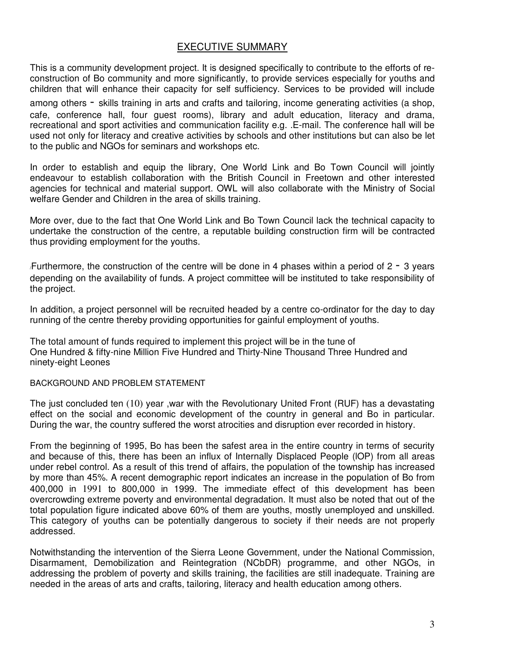## EXECUTIVE SUMMARY

This is a community development project. It is designed specifically to contribute to the efforts of reconstruction of Bo community and more significantly, to provide services especially for youths and children that will enhance their capacity for self sufficiency. Services to be provided will include

among others - skills training in arts and crafts and tailoring, income generating activities (a shop, cafe, conference hall, four guest rooms), library and adult education, literacy and drama, recreational and sport activities and communication facility e.g. .E-mail. The conference hall will be used not only for literacy and creative activities by schools and other institutions but can also be let to the public and NGOs for seminars and workshops etc.

In order to establish and equip the library, One World Link and Bo Town Council will jointly endeavour to establish collaboration with the British Council in Freetown and other interested agencies for technical and material support. OWL will also collaborate with the Ministry of Social welfare Gender and Children in the area of skills training.

More over, due to the fact that One World Link and Bo Town Council lack the technical capacity to undertake the construction of the centre, a reputable building construction firm will be contracted thus providing employment for the youths.

Furthermore, the construction of the centre will be done in 4 phases within a period of  $2 - 3$  years depending on the availability of funds. A project committee will be instituted to take responsibility of the project.

In addition, a project personnel will be recruited headed by a centre co-ordinator for the day to day running of the centre thereby providing opportunities for gainful employment of youths.

The total amount of funds required to implement this project will be in the tune of One Hundred & fifty-nine Million Five Hundred and Thirty-Nine Thousand Three Hundred and ninety-eight Leones

#### BACKGROUND AND PROBLEM STATEMENT

The just concluded ten (10) year ,war with the Revolutionary United Front (RUF) has a devastating effect on the social and economic development of the country in general and Bo in particular. During the war, the country suffered the worst atrocities and disruption ever recorded in history.

From the beginning of 1995, Bo has been the safest area in the entire country in terms of security and because of this, there has been an influx of Internally Displaced People (lOP) from all areas under rebel control. As a result of this trend of affairs, the population of the township has increased by more than 45%. A recent demographic report indicates an increase in the population of Bo from 400,000 in 1991 to 800,000 in 1999. The immediate effect of this development has been overcrowding extreme poverty and environmental degradation. It must also be noted that out of the total population figure indicated above 60% of them are youths, mostly unemployed and unskilled. This category of youths can be potentially dangerous to society if their needs are not properly addressed.

Notwithstanding the intervention of the Sierra Leone Government, under the National Commission, Disarmament, Demobilization and Reintegration (NCbDR) programme, and other NGOs, in addressing the problem of poverty and skills training, the facilities are still inadequate. Training are needed in the areas of arts and crafts, tailoring, literacy and health education among others.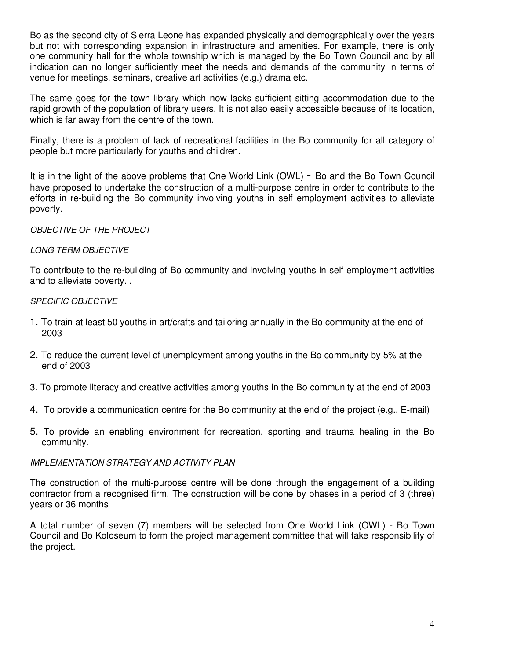Bo as the second city of Sierra Leone has expanded physically and demographically over the years but not with corresponding expansion in infrastructure and amenities. For example, there is only one community hall for the whole township which is managed by the Bo Town Council and by all indication can no longer sufficiently meet the needs and demands of the community in terms of venue for meetings, seminars, creative art activities (e.g.) drama etc.

The same goes for the town library which now lacks sufficient sitting accommodation due to the rapid growth of the population of library users. It is not also easily accessible because of its location, which is far away from the centre of the town.

Finally, there is a problem of lack of recreational facilities in the Bo community for all category of people but more particularly for youths and children.

It is in the light of the above problems that One World Link (OWL) - Bo and the Bo Town Council have proposed to undertake the construction of a multi-purpose centre in order to contribute to the efforts in re-building the Bo community involving youths in self employment activities to alleviate poverty.

#### OBJECTIVE OF THE PROJECT

#### LONG TERM OBJECTIVE

To contribute to the re-building of Bo community and involving youths in self employment activities and to alleviate poverty. .

#### SPECIFIC OBJECTIVE

- 1. To train at least 50 youths in art/crafts and tailoring annually in the Bo community at the end of 2003
- 2. To reduce the current level of unemployment among youths in the Bo community by 5% at the end of 2003
- 3. To promote literacy and creative activities among youths in the Bo community at the end of 2003
- 4. To provide a communication centre for the Bo community at the end of the project (e.g.. E-mail)
- 5. To provide an enabling environment for recreation, sporting and trauma healing in the Bo community.

#### IMPLEMENTATlON STRATEGY AND ACTIVITY PLAN

The construction of the multi-purpose centre will be done through the engagement of a building contractor from a recognised firm. The construction will be done by phases in a period of 3 (three) years or 36 months

A total number of seven (7) members will be selected from One World Link (OWL) - Bo Town Council and Bo Koloseum to form the project management committee that will take responsibility of the project.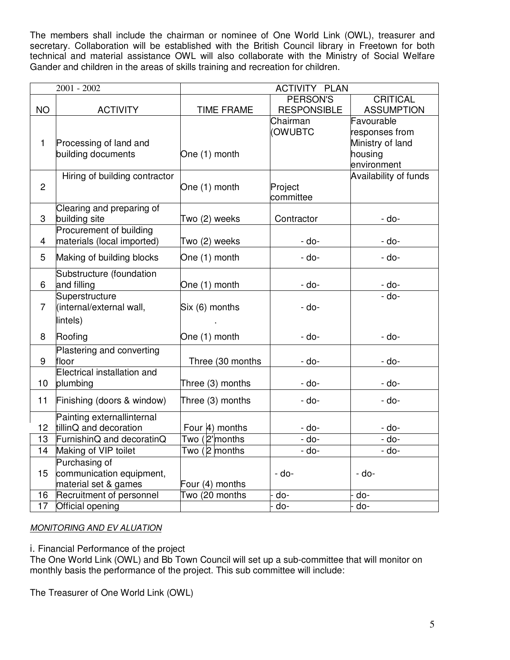The members shall include the chairman or nominee of One World Link (OWL), treasurer and secretary. Collaboration will be established with the British Council library in Freetown for both technical and material assistance OWL will also collaborate with the Ministry of Social Welfare Gander and children in the areas of skills training and recreation for children.

| $2001 - 2002$           |                               | <b>ACTIVITY PLAN</b>               |                    |                              |  |
|-------------------------|-------------------------------|------------------------------------|--------------------|------------------------------|--|
|                         |                               |                                    | PERSON'S           | <b>CRITICAL</b>              |  |
| <b>NO</b>               | <b>ACTIVITY</b>               | <b>TIME FRAME</b>                  | <b>RESPONSIBLE</b> | <b>ASSUMPTION</b>            |  |
|                         |                               |                                    | Chairman           | Favourable                   |  |
|                         |                               |                                    | (OWUBTC            | responses from               |  |
| $\mathbf{1}$            | Processing of land and        |                                    |                    | Ministry of land             |  |
|                         | building documents            | One (1) month                      |                    | housing                      |  |
|                         |                               |                                    |                    | environment                  |  |
|                         | Hiring of building contractor |                                    |                    | <b>Availability of funds</b> |  |
| $\overline{2}$          |                               | One (1) month                      | Project            |                              |  |
|                         |                               |                                    | committee          |                              |  |
|                         | Clearing and preparing of     |                                    |                    |                              |  |
| 3                       | building site                 | Two (2) weeks                      | Contractor         | - do-                        |  |
|                         | Procurement of building       |                                    |                    |                              |  |
| $\overline{\mathbf{4}}$ | materials (local imported)    | Two (2) weeks                      | - do-              | - do-                        |  |
| 5                       | Making of building blocks     | One (1) month                      | - do-              | - do-                        |  |
|                         | Substructure (foundation      |                                    |                    |                              |  |
| 6                       | and filling                   | One (1) month                      | - do-              | <u>- do-</u>                 |  |
|                         | Superstructure                |                                    |                    | $-do-$                       |  |
| $\overline{7}$          | (internal/external wall,      | Six (6) months                     | - do-              |                              |  |
|                         | lintels)                      |                                    |                    |                              |  |
|                         |                               |                                    |                    |                              |  |
| 8                       | Roofing                       | One (1) month                      | - do-              | - do-                        |  |
|                         | Plastering and converting     |                                    |                    |                              |  |
| 9                       | floor                         | Three (30 months                   | - do-              | - do-                        |  |
|                         | Electrical installation and   |                                    |                    |                              |  |
| 10                      | plumbing                      | Three (3) months                   | - do-              | - do-                        |  |
| 11                      | Finishing (doors & window)    | Three (3) months                   | - do-              | - do-                        |  |
|                         | Painting externallinternal    |                                    |                    |                              |  |
| 12                      | tillinQ and decoration        | Four 4) months                     | - do-              | - do-                        |  |
| 13                      | FurnishinQ and decoratinQ     | Two (2'months                      | - do-              | $-do$ -                      |  |
| 14                      | Making of VIP toilet          | Two (2 months                      | - do-              | - do-                        |  |
|                         | Purchasing of                 |                                    |                    |                              |  |
| 15                      | communication equipment,      |                                    | - do-              | - do-                        |  |
|                         | material set & games          | Four (4) months                    |                    |                              |  |
| 16                      | Recruitment of personnel      | $\overline{\text{Two}}$ (20 months | do-                | do-                          |  |
| 17                      | Official opening              |                                    | $\overline{d}$     | $\overline{d}$               |  |

### MONITORING AND EV ALUATION

i. Financial Performance of the project

The One World Link (OWL) and Bb Town Council will set up a sub-committee that will monitor on monthly basis the performance of the project. This sub committee will include:

The Treasurer of One World Link (OWL)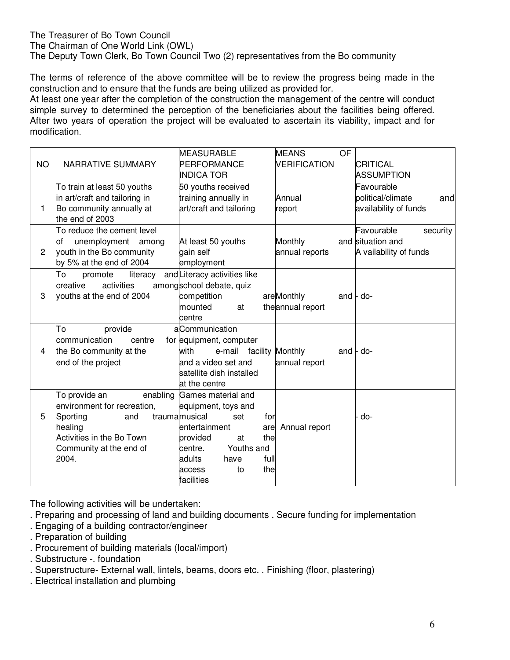## The Treasurer of Bo Town Council

The Chairman of One World Link (OWL)

The Deputy Town Clerk, Bo Town Council Two (2) representatives from the Bo community

The terms of reference of the above committee will be to review the progress being made in the construction and to ensure that the funds are being utilized as provided for.

At least one year after the completion of the construction the management of the centre will conduct simple survey to determined the perception of the beneficiaries about the facilities being offered. After two years of operation the project will be evaluated to ascertain its viability, impact and for modification.

|                |                                             | <b>MEASURABLE</b>                | <b>MEANS</b><br>OF      |                                      |
|----------------|---------------------------------------------|----------------------------------|-------------------------|--------------------------------------|
| <b>NO</b>      | NARRATIVE SUMMARY                           | PERFORMANCE<br><b>INDICA TOR</b> | <b>VERIFICATION</b>     | <b>CRITICAL</b><br><b>ASSUMPTION</b> |
|                | To train at least 50 youths                 | 50 youths received               |                         | Favourable                           |
|                | in art/craft and tailoring in               | training annually in             | Annual                  | political/climate<br>and             |
| 1              | Bo community annually at<br>the end of 2003 | art/craft and tailoring          | report                  | availability of funds                |
|                | To reduce the cement level                  |                                  |                         | Favourable<br>security               |
|                | unemployment among<br>of                    | At least 50 youths               | Monthly                 | and situation and                    |
| 2              | youth in the Bo community                   | gain self                        | annual reports          | A vailability of funds               |
|                | by 5% at the end of 2004                    | employment                       |                         |                                      |
|                | To<br>promote<br>literacy                   | and Literacy activities like     |                         |                                      |
|                | creative<br>activities                      | amongschool debate, quiz         |                         |                                      |
| 3              | youths at the end of 2004                   | competition                      | areMonthly<br>and       | - do-                                |
|                |                                             | mounted<br>at                    | the annual report       |                                      |
|                |                                             | centre                           |                         |                                      |
|                | To<br>provide                               | aCommunication                   |                         |                                      |
|                | communication<br>centre                     | for equipment, computer          |                         |                                      |
| $\overline{4}$ | the Bo community at the                     | with<br>e-mail                   | facility Monthly<br>and | - do-                                |
|                | end of the project                          | and a video set and              | annual report           |                                      |
|                |                                             | satellite dish installed         |                         |                                      |
|                |                                             | at the centre                    |                         |                                      |
|                | To provide an<br>enabling                   | Games material and               |                         |                                      |
|                | environment for recreation,                 | equipment, toys and              |                         |                                      |
| 5              | Sporting<br>and                             | traumamusical<br>for<br>set      |                         | do-                                  |
|                | healing                                     | entertainment<br>are             | Annual report           |                                      |
|                | Activities in the Bo Town                   | provided<br>the<br>at            |                         |                                      |
|                | Community at the end of                     | Youths and<br>centre.            |                         |                                      |
|                | 2004.                                       | full<br>adults<br>have           |                         |                                      |
|                |                                             | the<br>access<br>to              |                         |                                      |
|                |                                             | facilities                       |                         |                                      |

The following activities will be undertaken:

. Preparing and processing of land and building documents . Secure funding for implementation

- . Engaging of a building contractor/engineer
- . Preparation of building
- . Procurement of building materials (Iocal/import)
- . Substructure -. foundation
- . Superstructure- External wall, lintels, beams, doors etc. . Finishing (floor, plastering)
- . Electrical installation and plumbing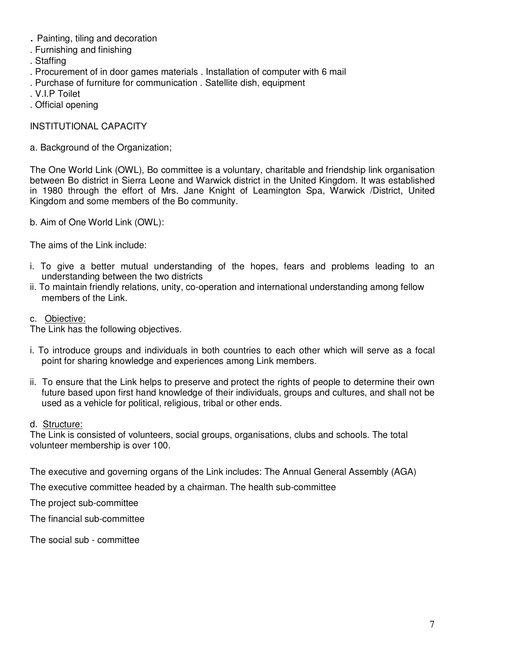- . Painting, tiling and decoration
- . Furnishing and finishing
- . Staffing
- . Procurement of in door games materials . Installation of computer with 6 mail
- . Purchase of furniture for communication . Satellite dish, equipment
- . V.I.P Toilet
- . Official opening

### INSTITUTIONAL CAPACITY

a. Background of the Organization;

The One World Link (OWL), Bo committee is a voluntary, charitable and friendship link organisation between Bo district in Sierra Leone and Warwick district in the United Kingdom. It was established in 1980 through the effort of Mrs. Jane Knight of Leamington Spa, Warwick /District, United Kingdom and some members of the Bo community.

b. Aim of One World Link (OWL):

The aims of the Link include:

- i. To give a better mutual understanding of the hopes, fears and problems leading to an understanding between the two districts
- ii. To maintain friendly relations, unity, co-operation and international understanding among fellow members of the Link.
- c. Obiective:

The Link has the following objectives.

- i. To introduce groups and individuals in both countries to each other which will serve as a focal point for sharing knowledge and experiences among Link members.
- ii. To ensure that the Link helps to preserve and protect the rights of people to determine their own future based upon first hand knowledge of their individuals, groups and cultures, and shall not be used as a vehicle for political, religious, tribal or other ends.

#### d. Structure:

The Link is consisted of volunteers, social groups, organisations, clubs and schools. The total volunteer membership is over 100.

The executive and governing organs of the Link includes: The Annual General Assembly (AGA)

The executive committee headed by a chairman. The health sub-committee

The project sub-committee

The financial sub-committee

The social sub - committee